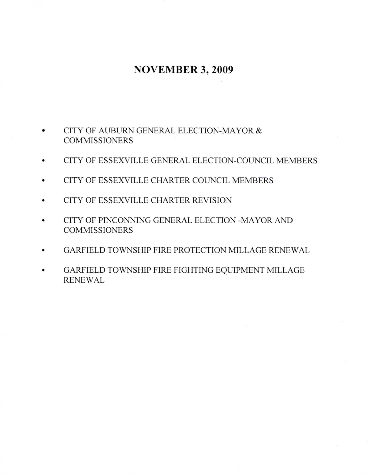## **NOVEMBER 3, 2009**

- CITY OF AUBURN GENERAL ELECTION-MAYOR & **COMMISSIONERS**
- CITY OF ESSEXVILLE GENERAL ELECTION-COUNCIL MEMBERS
- CITY OF ESSEXVILLE CHARTER COUNCIL MEMBERS
- CITY OF ESSEXVILLE CHARTER REVISION  $\bullet$
- CITY OF PINCONNING GENERAL ELECTION -MAYOR AND **COMMISSIONERS**
- GARFIELD TOWNSHIP FIRE PROTECTION MILLAGE RENEWAL
- GARFIELD TOWNSHIP FIRE FIGHTING EQUIPMENT MILLAGE  $\bullet$ **RENEWAL**